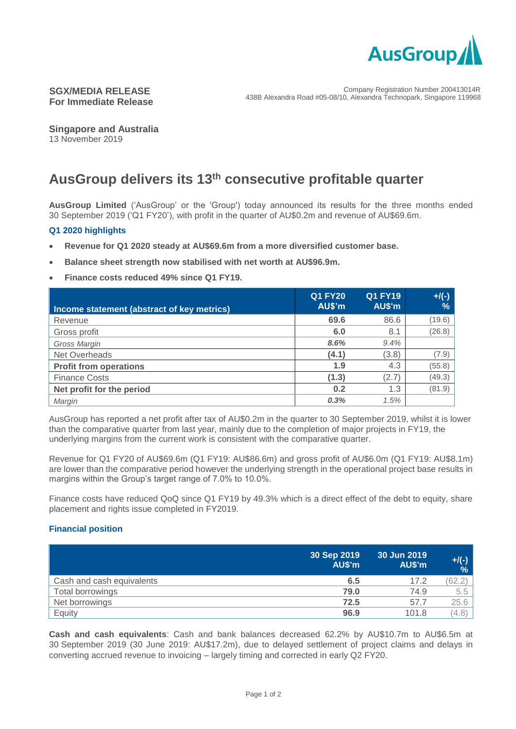

# **SGX/MEDIA RELEASE For Immediate Release**

**Singapore and Australia** 13 November 2019

# **AusGroup delivers its 13th consecutive profitable quarter**

**AusGroup Limited** ('AusGroup' or the 'Group') today announced its results for the three months ended 30 September 2019 ('Q1 FY20'), with profit in the quarter of AU\$0.2m and revenue of AU\$69.6m.

## **Q1 2020 highlights**

- **Revenue for Q1 2020 steady at AU\$69.6m from a more diversified customer base.**
- **Balance sheet strength now stabilised with net worth at AU\$96.9m.**
- **Finance costs reduced 49% since Q1 FY19.**

| Income statement (abstract of key metrics) | <b>Q1 FY20</b><br>AU\$'m | <b>Q1 FY19</b><br>AU\$'m | $+$ /(-)<br>$\frac{9}{6}$ |
|--------------------------------------------|--------------------------|--------------------------|---------------------------|
| Revenue                                    | 69.6                     | 86.6                     | (19.6)                    |
| Gross profit                               | 6.0                      | 8.1                      | (26.8)                    |
| Gross Margin                               | 8.6%                     | 9.4%                     |                           |
| Net Overheads                              | (4.1)                    | (3.8)                    | (7.9)                     |
| <b>Profit from operations</b>              | 1.9                      | 4.3                      | (55.8)                    |
| <b>Finance Costs</b>                       | (1.3)                    | (2.7)                    | (49.3)                    |
| Net profit for the period                  | 0.2                      | 1.3                      | (81.9)                    |
| Margin                                     | 0.3%                     | 1.5%                     |                           |

AusGroup has reported a net profit after tax of AU\$0.2m in the quarter to 30 September 2019, whilst it is lower than the comparative quarter from last year, mainly due to the completion of major projects in FY19, the underlying margins from the current work is consistent with the comparative quarter.

Revenue for Q1 FY20 of AU\$69.6m (Q1 FY19: AU\$86.6m) and gross profit of AU\$6.0m (Q1 FY19: AU\$8.1m) are lower than the comparative period however the underlying strength in the operational project base results in margins within the Group's target range of 7.0% to 10.0%.

Finance costs have reduced QoQ since Q1 FY19 by 49.3% which is a direct effect of the debt to equity, share placement and rights issue completed in FY2019.

### **Financial position**

|                           | 30 Sep 2019<br>AU\$'m | 30 Jun 2019<br>AU\$'m | $+$ /(-)  <br>% |
|---------------------------|-----------------------|-----------------------|-----------------|
| Cash and cash equivalents | 6.5                   | 17.2                  |                 |
| Total borrowings          | 79.0                  | 74.9                  | 5.5             |
| Net borrowings            | 72.5                  | 57.7                  | 25.6            |
| Equity                    | 96.9                  | 101.8                 | (4.8)           |

**Cash and cash equivalents**: Cash and bank balances decreased 62.2% by AU\$10.7m to AU\$6.5m at 30 September 2019 (30 June 2019: AU\$17.2m), due to delayed settlement of project claims and delays in converting accrued revenue to invoicing – largely timing and corrected in early Q2 FY20.